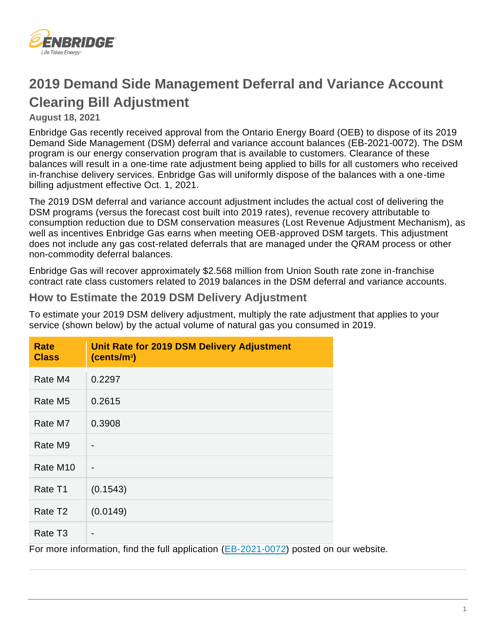

# **2019 Demand Side Management Deferral and Variance Account Clearing Bill Adjustment**

#### **August 18, 2021**

Enbridge Gas recently received approval from the Ontario Energy Board (OEB) to dispose of its 2019 Demand Side Management (DSM) deferral and variance account balances ([EB-2021-0072](https://www.enbridgegas.com/about-enbridge-gas/regulatory)). The DSM program is our energy conservation program that is available to customers. Clearance of these balances will result in a one-time rate adjustment being applied to bills for all customers who received in-franchise delivery services. Enbridge Gas will uniformly dispose of the balances with a one-time billing adjustment effective Oct. 1, 2021.

The 2019 DSM deferral and variance account adjustment includes the actual cost of delivering the DSM programs (versus the forecast cost built into 2019 rates), revenue recovery attributable to consumption reduction due to DSM conservation measures (Lost Revenue Adjustment Mechanism), as well as incentives Enbridge Gas earns when meeting OEB-approved DSM targets. This adjustment does not include any gas cost-related deferrals that are managed under the QRAM process or other non-commodity deferral balances.

Enbridge Gas will recover approximately \$2.568 million from Union South rate zone in-franchise contract rate class customers related to 2019 balances in the DSM deferral and variance accounts.

### **How to Estimate the 2019 DSM Delivery Adjustment**

To estimate your 2019 DSM delivery adjustment, multiply the rate adjustment that applies to your service (shown below) by the actual volume of natural gas you consumed in 2019.

| <b>Rate</b><br><b>Class</b> | Unit Rate for 2019 DSM Delivery Adjustment<br>(cents/m <sup>3</sup> )                 |
|-----------------------------|---------------------------------------------------------------------------------------|
| Rate M4                     | 0.2297                                                                                |
| Rate M <sub>5</sub>         | 0.2615                                                                                |
| Rate M7                     | 0.3908                                                                                |
| Rate M9                     |                                                                                       |
| Rate M <sub>10</sub>        |                                                                                       |
| Rate T1                     | (0.1543)                                                                              |
| Rate T <sub>2</sub>         | (0.0149)                                                                              |
| Rate T <sub>3</sub>         |                                                                                       |
|                             | For more information, find the full application (EB-2021-0072) posted on our website. |